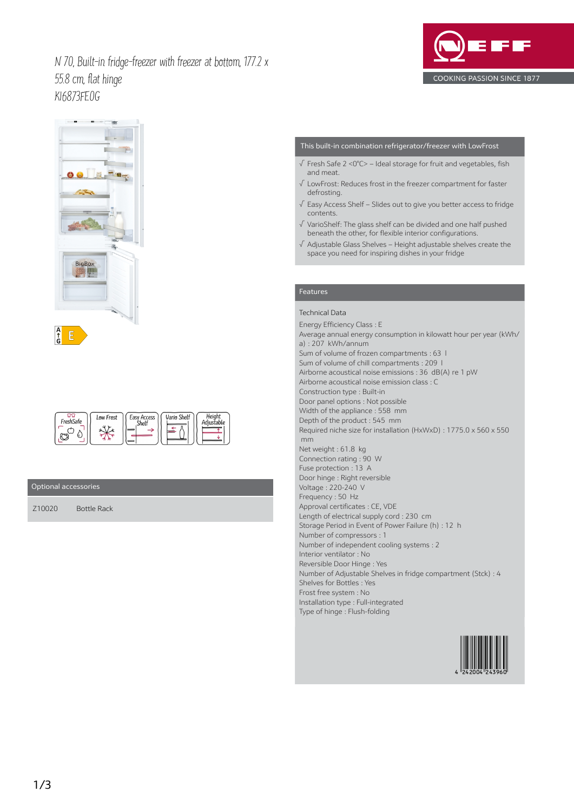N 70, Built-in fridge-freezer with freezer at bottom, 177.2 x 55.8 cm, flat hinge KI6873FE0G





| FreshSafe | Low Frost | Easy Access<br>Shel <sup>-</sup> | Vario Shelf | Heiahi |
|-----------|-----------|----------------------------------|-------------|--------|
|-----------|-----------|----------------------------------|-------------|--------|

## Optional accessories

Z10020 Bottle Rack

# This built-in combination refrigerator/freezer with LowFrost

- √ Fresh Safe 2 <0°C> Ideal storage for fruit and vegetables, fish and meat.
- √ LowFrost: Reduces frost in the freezer compartment for faster defrosting.
- √ Easy Access Shelf Slides out to give you better access to fridge contents.
- √ VarioShelf: The glass shelf can be divided and one half pushed beneath the other, for flexible interior configurations.
- √ Adjustable Glass Shelves Height adjustable shelves create the space you need for inspiring dishes in your fridge

## Features

# Technical Data

Energy Efficiency Class : E Average annual energy consumption in kilowatt hour per year (kWh/ a) : 207 kWh/annum Sum of volume of frozen compartments : 63 l Sum of volume of chill compartments : 209 l Airborne acoustical noise emissions : 36 dB(A) re 1 pW Airborne acoustical noise emission class : C Construction type : Built-in Door panel options : Not possible Width of the appliance : 558 mm Depth of the product : 545 mm Required niche size for installation (HxWxD) : 1775.0 x 560 x 550 mm Net weight : 61.8 kg Connection rating : 90 W Fuse protection : 13 A Door hinge : Right reversible Voltage : 220-240 V Frequency : 50 Hz Approval certificates : CE, VDE Length of electrical supply cord : 230 cm Storage Period in Event of Power Failure (h) : 12 h Number of compressors : 1 Number of independent cooling systems : 2 Interior ventilator : No Reversible Door Hinge : Yes Number of Adjustable Shelves in fridge compartment (Stck) : 4 Shelves for Bottles : Yes Frost free system : No Installation type : Full-integrated Type of hinge : Flush-folding

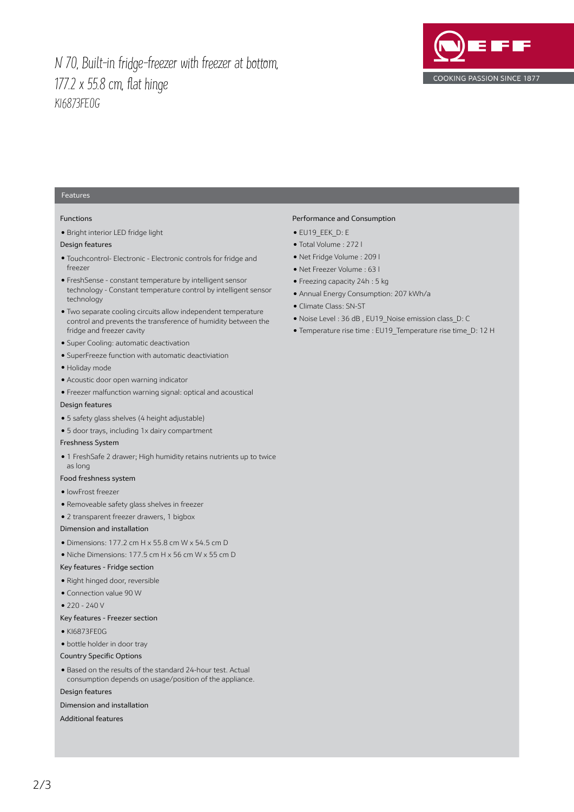# N 70, Built-in fridge-freezer with freezer at bottom, 177.2 x 55.8 cm, flat hinge KI6873FE0G



# Features

#### Functions

● Bright interior LED fridge light

## Design features

- Touchcontrol- Electronic Electronic controls for fridge and freezer
- FreshSense constant temperature by intelligent sensor technology - Constant temperature control by intelligent sensor technology
- Two separate cooling circuits allow independent temperature control and prevents the transference of humidity between the fridge and freezer cavity
- Super Cooling: automatic deactivation
- SuperFreeze function with automatic deactiviation
- Holiday mode
- Acoustic door open warning indicator
- Freezer malfunction warning signal: optical and acoustical

## Design features

- 5 safety glass shelves (4 height adjustable)
- 5 door trays, including 1x dairy compartment

#### Freshness System

● 1 FreshSafe 2 drawer; High humidity retains nutrients up to twice as long

#### Food freshness system

#### ● lowFrost freezer

- Removeable safety glass shelves in freezer
- 2 transparent freezer drawers, 1 bigbox

### Dimension and installation

- Dimensions: 177.2 cm H x 55.8 cm W x 54.5 cm D
- Niche Dimensions: 177.5 cm H x 56 cm W x 55 cm D

#### Key features - Fridge section

- Right hinged door, reversible
- Connection value 90 W
- $\bullet$  220 240 V

#### Key features - Freezer section

- KI6873FE0G
- bottle holder in door tray
- Country Specific Options

● Based on the results of the standard 24-hour test. Actual consumption depends on usage/position of the appliance.

#### Design features

Dimension and installation

Additional features

## Performance and Consumption

- EU19\_EEK\_D: E
- Total Volume : 272 l
- Net Fridge Volume : 209 l
- Net Freezer Volume : 63 l
- Freezing capacity 24h : 5 kg
- Annual Energy Consumption: 207 kWh/a
- Climate Class: SN-ST
- Noise Level : 36 dB , EU19\_Noise emission class\_D: C
- Temperature rise time : EU19\_Temperature rise time\_D: 12 H